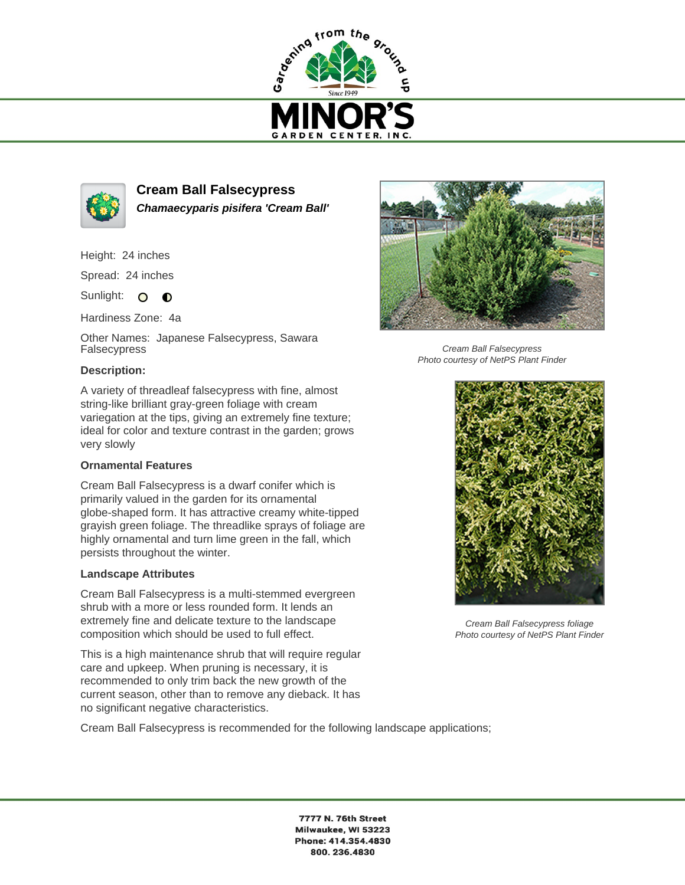



**Cream Ball Falsecypress Chamaecyparis pisifera 'Cream Ball'**

Height: 24 inches

Spread: 24 inches

Sunlight: O **O** 

Hardiness Zone: 4a

Other Names: Japanese Falsecypress, Sawara Falsecypress

## **Description:**

A variety of threadleaf falsecypress with fine, almost string-like brilliant gray-green foliage with cream variegation at the tips, giving an extremely fine texture; ideal for color and texture contrast in the garden; grows very slowly

## **Ornamental Features**

Cream Ball Falsecypress is a dwarf conifer which is primarily valued in the garden for its ornamental globe-shaped form. It has attractive creamy white-tipped grayish green foliage. The threadlike sprays of foliage are highly ornamental and turn lime green in the fall, which persists throughout the winter.

## **Landscape Attributes**

Cream Ball Falsecypress is a multi-stemmed evergreen shrub with a more or less rounded form. It lends an extremely fine and delicate texture to the landscape composition which should be used to full effect.

This is a high maintenance shrub that will require regular care and upkeep. When pruning is necessary, it is recommended to only trim back the new growth of the current season, other than to remove any dieback. It has no significant negative characteristics.

Cream Ball Falsecypress is recommended for the following landscape applications;



Cream Ball Falsecypress Photo courtesy of NetPS Plant Finder



Cream Ball Falsecypress foliage Photo courtesy of NetPS Plant Finder

7777 N. 76th Street Milwaukee, WI 53223 Phone: 414.354.4830 800.236.4830